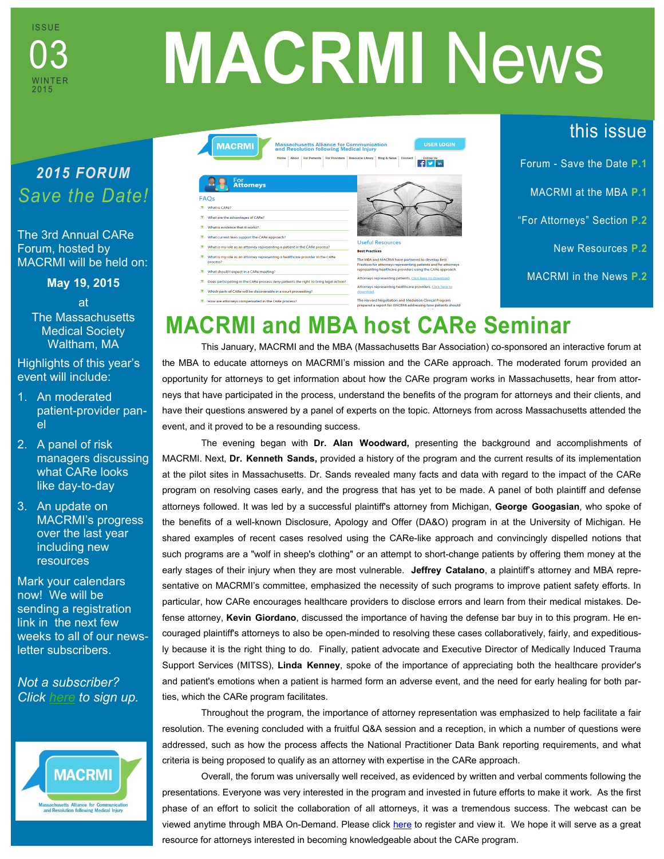

# **MACRMI** News

## *2015 FORUM Save the Date!*

The 3rd Annual CARe Forum, hosted by MACRMI will be held on:

**May 19, 2015**

at The Massachusetts Medical Society Waltham, MA

Highlights of this year's event will include:

- 1. An moderated patient-provider panel
- 2. A panel of risk managers discussing what CARe looks like day-to-day
- 3. An update on MACRMI's progress over the last year including new resources

Mark your calendars now! We will be sending a registration link in the next few weeks to all of our newsletter subscribers.

*Not a subscriber? Click [here](http://www.macrmi.info/connect/sign-our-newsletter/#sthash.GHE4Yp4o.dpbs) to sign up.*



| <b>MACRMI</b><br><b>Massachusetts Alliance for Communication</b><br>and Resolution following Medical Injury                                  | <b>USER LOGIN</b>                                                                                                                                                                                |               |
|----------------------------------------------------------------------------------------------------------------------------------------------|--------------------------------------------------------------------------------------------------------------------------------------------------------------------------------------------------|---------------|
| About   For Patients   For Providers   Resource Library   Blog & News  <br>Home                                                              | Connect<br><b>Follow Us:</b><br><b>y</b> in                                                                                                                                                      | Forum - Sa    |
| For<br><b>Attorneys</b><br>FAQs                                                                                                              |                                                                                                                                                                                                  | <b>MACRMI</b> |
| What is CARe?<br>What are the advantages of CARe?<br>What is evidence that it works?                                                         |                                                                                                                                                                                                  | "For Attorne  |
| What current laws support the CARe approach?<br>What is my role as an attorney representing a patient in the CARe process?<br>v.             | <b>Useful Resources</b><br><b>Rest Practices</b>                                                                                                                                                 | <b>Nev</b>    |
| What is my role as an attorney representing a healthcare provider in the CARe<br>process?                                                    | The MBA and MACRMI have partnered to develop Best<br>Practices for attorneys representing patients and for attorneys<br>representing healthcare providers using the CARe approach.               |               |
| What should I expect in a CARe meeting?<br>v.<br>Does participating in the CARe process deny patients the right to bring legal action?<br>v. | Attorneys representing patients, Click here to download.                                                                                                                                         | <b>MACRML</b> |
| Which parts of CARe will be discoverable in a court proceeding?<br>How are attorneys compensated in the CARe process?                        | Attorneys representing healthcare providers, Click here to<br>download.<br>The Harvard Negotiation and Mediation Clinical Program<br>prepared a report for MACRMI addressing how patients should |               |

this issue

ve the Date **P.1** 

at the MBA **P.1** 

**Eys**" Section **P.2** 

**Resources P.2** 

in the News **P.2** 

# **MACRMI and MBA host CARe Seminar**

This January, MACRMI and the MBA (Massachusetts Bar Association) co-sponsored an interactive forum at the MBA to educate attorneys on MACRMI's mission and the CARe approach. The moderated forum provided an opportunity for attorneys to get information about how the CARe program works in Massachusetts, hear from attorneys that have participated in the process, understand the benefits of the program for attorneys and their clients, and have their questions answered by a panel of experts on the topic. Attorneys from across Massachusetts attended the event, and it proved to be a resounding success.

The evening began with **Dr. Alan Woodward,** presenting the background and accomplishments of MACRMI. Next, **Dr. Kenneth Sands,** provided a history of the program and the current results of its implementation at the pilot sites in Massachusetts. Dr. Sands revealed many facts and data with regard to the impact of the CARe program on resolving cases early, and the progress that has yet to be made. A panel of both plaintiff and defense attorneys followed. It was led by a successful plaintiff's attorney from Michigan, **George Googasian**, who spoke of the benefits of a well-known Disclosure, Apology and Offer (DA&O) program in at the University of Michigan. He shared examples of recent cases resolved using the CARe-like approach and convincingly dispelled notions that such programs are a "wolf in sheep's clothing" or an attempt to short-change patients by offering them money at the early stages of their injury when they are most vulnerable. **Jeffrey Catalano**, a plaintiff's attorney and MBA representative on MACRMI's committee, emphasized the necessity of such programs to improve patient safety efforts. In particular, how CARe encourages healthcare providers to disclose errors and learn from their medical mistakes. Defense attorney, **Kevin Giordano**, discussed the importance of having the defense bar buy in to this program. He encouraged plaintiff's attorneys to also be open-minded to resolving these cases collaboratively, fairly, and expeditiously because it is the right thing to do. Finally, patient advocate and Executive Director of Medically Induced Trauma Support Services (MITSS), **Linda Kenney**, spoke of the importance of appreciating both the healthcare provider's and patient's emotions when a patient is harmed form an adverse event, and the need for early healing for both parties, which the CARe program facilitates.

Throughout the program, the importance of attorney representation was emphasized to help facilitate a fair resolution. The evening concluded with a fruitful Q&A session and a reception, in which a number of questions were addressed, such as how the process affects the National Practitioner Data Bank reporting requirements, and what criteria is being proposed to qualify as an attorney with expertise in the CARe approach.

Overall, the forum was universally well received, as evidenced by written and verbal comments following the presentations. Everyone was very interested in the program and invested in future efforts to make it work. As the first phase of an effort to solicit the collaboration of all attorneys, it was a tremendous success. The webcast can be viewed anytime through MBA On-Demand. Please click [here](http://www.massbar.org/cle/mba-on-demand?k=3760&kp=3759) to register and view it. We hope it will serve as a great resource for attorneys interested in becoming knowledgeable about the CARe program.